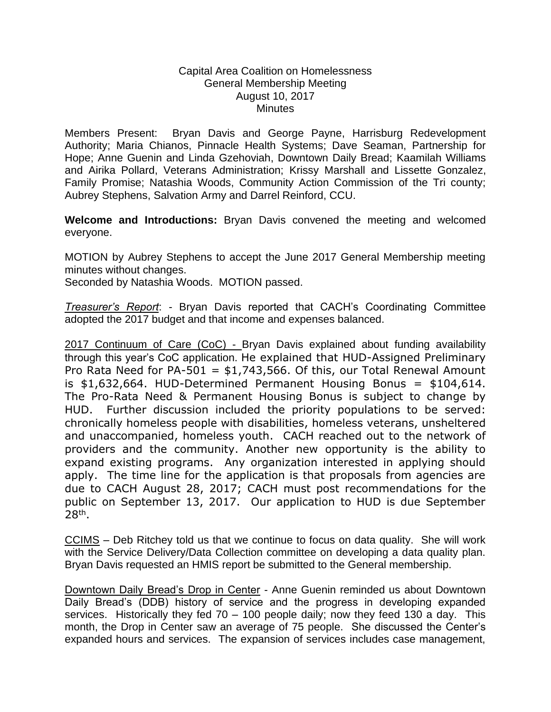## Capital Area Coalition on Homelessness General Membership Meeting August 10, 2017 **Minutes**

Members Present: Bryan Davis and George Payne, Harrisburg Redevelopment Authority; Maria Chianos, Pinnacle Health Systems; Dave Seaman, Partnership for Hope; Anne Guenin and Linda Gzehoviah, Downtown Daily Bread; Kaamilah Williams and Airika Pollard, Veterans Administration; Krissy Marshall and Lissette Gonzalez, Family Promise; Natashia Woods, Community Action Commission of the Tri county; Aubrey Stephens, Salvation Army and Darrel Reinford, CCU.

**Welcome and Introductions:** Bryan Davis convened the meeting and welcomed everyone.

MOTION by Aubrey Stephens to accept the June 2017 General Membership meeting minutes without changes.

Seconded by Natashia Woods. MOTION passed.

*Treasurer's Report*: - Bryan Davis reported that CACH's Coordinating Committee adopted the 2017 budget and that income and expenses balanced.

2017 Continuum of Care (CoC) - Bryan Davis explained about funding availability through this year's CoC application. He explained that HUD-Assigned Preliminary Pro Rata Need for PA-501 =  $$1,743,566$ . Of this, our Total Renewal Amount is  $$1,632,664$ . HUD-Determined Permanent Housing Bonus =  $$104,614$ . The Pro-Rata Need & Permanent Housing Bonus is subject to change by HUD. Further discussion included the priority populations to be served: chronically homeless people with disabilities, homeless veterans, unsheltered and unaccompanied, homeless youth. CACH reached out to the network of providers and the community. Another new opportunity is the ability to expand existing programs. Any organization interested in applying should apply. The time line for the application is that proposals from agencies are due to CACH August 28, 2017; CACH must post recommendations for the public on September 13, 2017. Our application to HUD is due September 28th .

CCIMS – Deb Ritchey told us that we continue to focus on data quality. She will work with the Service Delivery/Data Collection committee on developing a data quality plan. Bryan Davis requested an HMIS report be submitted to the General membership.

Downtown Daily Bread's Drop in Center - Anne Guenin reminded us about Downtown Daily Bread's (DDB) history of service and the progress in developing expanded services. Historically they fed  $70 - 100$  people daily; now they feed 130 a day. This month, the Drop in Center saw an average of 75 people. She discussed the Center's expanded hours and services. The expansion of services includes case management,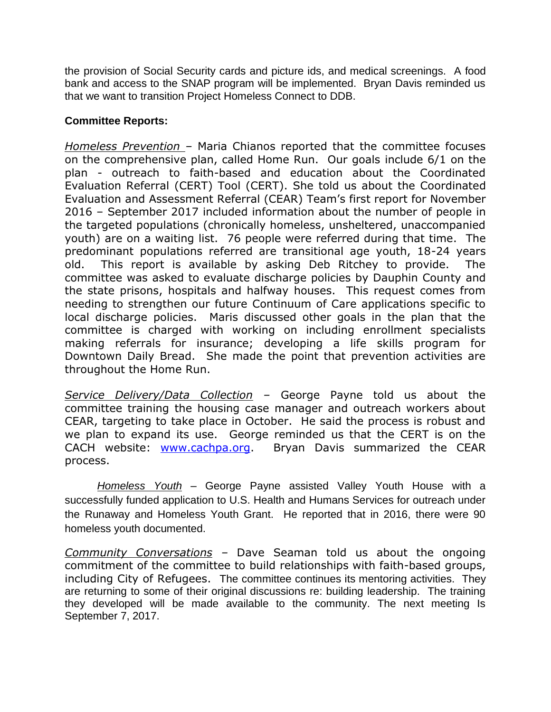the provision of Social Security cards and picture ids, and medical screenings. A food bank and access to the SNAP program will be implemented. Bryan Davis reminded us that we want to transition Project Homeless Connect to DDB.

## **Committee Reports:**

*Homeless Prevention –* Maria Chianos reported that the committee focuses on the comprehensive plan, called Home Run. Our goals include 6/1 on the plan - outreach to faith-based and education about the Coordinated Evaluation Referral (CERT) Tool (CERT). She told us about the Coordinated Evaluation and Assessment Referral (CEAR) Team's first report for November 2016 – September 2017 included information about the number of people in the targeted populations (chronically homeless, unsheltered, unaccompanied youth) are on a waiting list. 76 people were referred during that time. The predominant populations referred are transitional age youth, 18-24 years old. This report is available by asking Deb Ritchey to provide. The committee was asked to evaluate discharge policies by Dauphin County and the state prisons, hospitals and halfway houses. This request comes from needing to strengthen our future Continuum of Care applications specific to local discharge policies. Maris discussed other goals in the plan that the committee is charged with working on including enrollment specialists making referrals for insurance; developing a life skills program for Downtown Daily Bread. She made the point that prevention activities are throughout the Home Run.

*Service Delivery/Data Collection –* George Payne told us about the committee training the housing case manager and outreach workers about CEAR, targeting to take place in October. He said the process is robust and we plan to expand its use. George reminded us that the CERT is on the CACH website: [www.cachpa.org.](http://www.cachpa.org/) Bryan Davis summarized the CEAR process.

*Homeless Youth* – George Payne assisted Valley Youth House with a successfully funded application to U.S. Health and Humans Services for outreach under the Runaway and Homeless Youth Grant. He reported that in 2016, there were 90 homeless youth documented.

*Community Conversations –* Dave Seaman told us about the ongoing commitment of the committee to build relationships with faith-based groups, including City of Refugees. The committee continues its mentoring activities. They are returning to some of their original discussions re: building leadership. The training they developed will be made available to the community. The next meeting Is September 7, 2017.